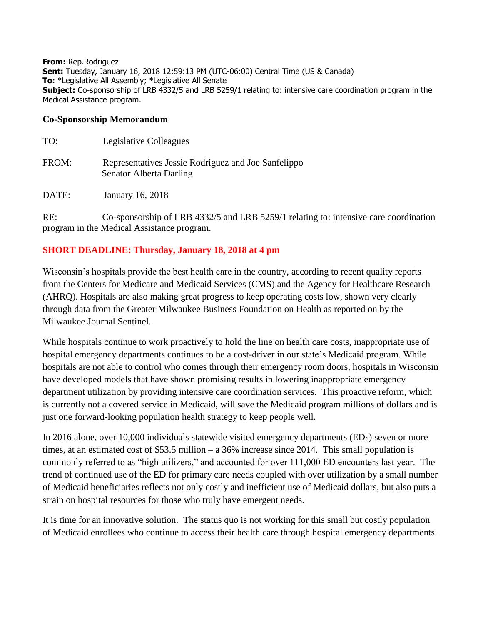**From:** Rep.Rodriguez **Sent:** Tuesday, January 16, 2018 12:59:13 PM (UTC-06:00) Central Time (US & Canada) **To:** \*Legislative All Assembly; \*Legislative All Senate **Subject:** Co-sponsorship of LRB 4332/5 and LRB 5259/1 relating to: intensive care coordination program in the Medical Assistance program.

## **Co-Sponsorship Memorandum**

| TO:   | Legislative Colleagues                                                         |
|-------|--------------------------------------------------------------------------------|
| FROM: | Representatives Jessie Rodriguez and Joe Sanfelippo<br>Senator Alberta Darling |
| DATE: | January 16, 2018                                                               |

RE: Co-sponsorship of LRB 4332/5 and LRB 5259/1 relating to: intensive care coordination program in the Medical Assistance program.

## **SHORT DEADLINE: Thursday, January 18, 2018 at 4 pm**

Wisconsin's hospitals provide the best health care in the country, according to recent quality reports from the Centers for Medicare and Medicaid Services (CMS) and the Agency for Healthcare Research (AHRQ). Hospitals are also making great progress to keep operating costs low, shown very clearly through data from the Greater Milwaukee Business Foundation on Health as reported on by the Milwaukee Journal Sentinel.

While hospitals continue to work proactively to hold the line on health care costs, inappropriate use of hospital emergency departments continues to be a cost-driver in our state's Medicaid program. While hospitals are not able to control who comes through their emergency room doors, hospitals in Wisconsin have developed models that have shown promising results in lowering inappropriate emergency department utilization by providing intensive care coordination services. This proactive reform, which is currently not a covered service in Medicaid, will save the Medicaid program millions of dollars and is just one forward-looking population health strategy to keep people well.

In 2016 alone, over 10,000 individuals statewide visited emergency departments (EDs) seven or more times, at an estimated cost of \$53.5 million – a 36% increase since 2014. This small population is commonly referred to as "high utilizers," and accounted for over 111,000 ED encounters last year. The trend of continued use of the ED for primary care needs coupled with over utilization by a small number of Medicaid beneficiaries reflects not only costly and inefficient use of Medicaid dollars, but also puts a strain on hospital resources for those who truly have emergent needs.

It is time for an innovative solution. The status quo is not working for this small but costly population of Medicaid enrollees who continue to access their health care through hospital emergency departments.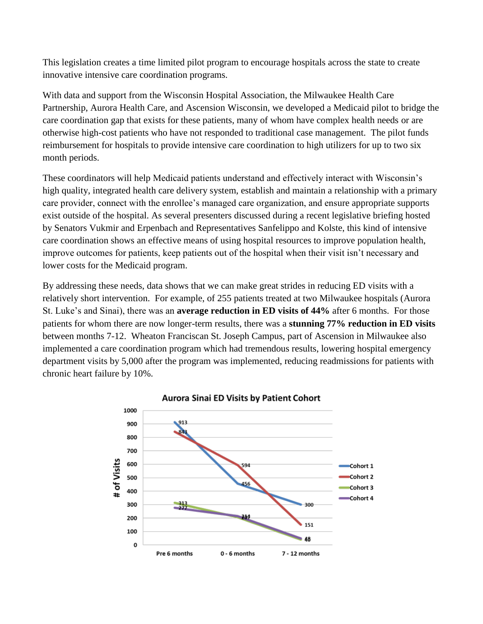This legislation creates a time limited pilot program to encourage hospitals across the state to create innovative intensive care coordination programs.

With data and support from the Wisconsin Hospital Association, the Milwaukee Health Care Partnership, Aurora Health Care, and Ascension Wisconsin, we developed a Medicaid pilot to bridge the care coordination gap that exists for these patients, many of whom have complex health needs or are otherwise high-cost patients who have not responded to traditional case management. The pilot funds reimbursement for hospitals to provide intensive care coordination to high utilizers for up to two six month periods.

These coordinators will help Medicaid patients understand and effectively interact with Wisconsin's high quality, integrated health care delivery system, establish and maintain a relationship with a primary care provider, connect with the enrollee's managed care organization, and ensure appropriate supports exist outside of the hospital. As several presenters discussed during a recent legislative briefing hosted by Senators Vukmir and Erpenbach and Representatives Sanfelippo and Kolste, this kind of intensive care coordination shows an effective means of using hospital resources to improve population health, improve outcomes for patients, keep patients out of the hospital when their visit isn't necessary and lower costs for the Medicaid program.

By addressing these needs, data shows that we can make great strides in reducing ED visits with a relatively short intervention. For example, of 255 patients treated at two Milwaukee hospitals (Aurora St. Luke's and Sinai), there was an **average reduction in ED visits of 44%** after 6 months. For those patients for whom there are now longer-term results, there was a **stunning 77% reduction in ED visits** between months 7-12. Wheaton Franciscan St. Joseph Campus, part of Ascension in Milwaukee also implemented a care coordination program which had tremendous results, lowering hospital emergency department visits by 5,000 after the program was implemented, reducing readmissions for patients with chronic heart failure by 10%.



## **Aurora Sinai ED Visits by Patient Cohort**